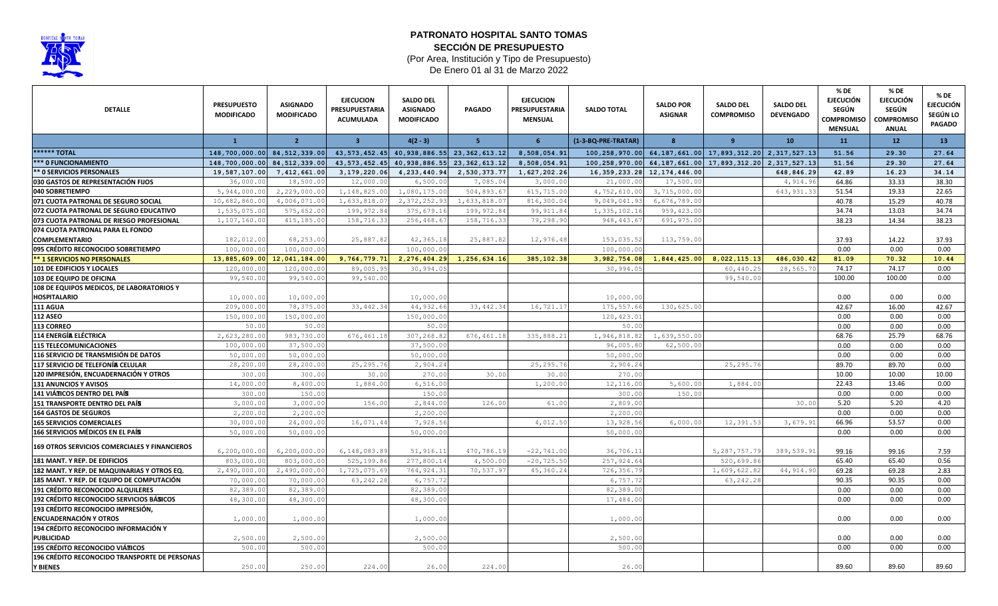

## **PATRONATO HOSPITAL SANTO TOMAS** (Por Area, Institución y Tipo de Presupuesto) **SECCIÓN DE PRESUPUESTO**

De Enero 01 al 31 de Marzo 2022

| <b>DETALLE</b>                                       | <b>PRESUPUESTO</b><br><b>MODIFICADO</b> | <b>ASIGNADO</b><br><b>MODIFICADO</b> | <b>EJECUCION</b><br>PRESUPUESTARIA<br>ACUMULADA | <b>SALDO DEL</b><br><b>ASIGNADO</b><br><b>MODIFICADO</b> | <b>PAGADO</b>                                      | <b>EJECUCION</b><br>PRESUPUESTARIA<br><b>MENSUAL</b> | <b>SALDO TOTAL</b>  | <b>SALDO POR</b><br><b>ASIGNAR</b> | <b>SALDO DEL</b><br><b>COMPROMISO</b>          | <b>SALDO DEL</b><br><b>DEVENGADO</b> | % DE<br><b>EJECUCIÓN</b><br><b>SEGÚN</b><br><b>COMPROMISO</b><br><b>MENSUAL</b> | % DE<br><b>EJECUCIÓN</b><br><b>SEGÚN</b><br><b>COMPROMISO</b><br><b>ANUAL</b> | % DE<br><b>EJECUCIÓN</b><br>SEGÚN LO<br><b>PAGADO</b> |
|------------------------------------------------------|-----------------------------------------|--------------------------------------|-------------------------------------------------|----------------------------------------------------------|----------------------------------------------------|------------------------------------------------------|---------------------|------------------------------------|------------------------------------------------|--------------------------------------|---------------------------------------------------------------------------------|-------------------------------------------------------------------------------|-------------------------------------------------------|
|                                                      | $\mathbf{1}$                            | $\overline{2}$                       | $\overline{\mathbf{3}}$                         | $4(2-3)$                                                 | 5                                                  | -6                                                   | (1-3-BQ-PRE-TRATAR) | $\mathbf{R}$                       | $\mathbf{q}$                                   | 10                                   | 11                                                                              | 12                                                                            | 13 <sup>7</sup>                                       |
| <b>****** TOTAL</b>                                  | 148,700,000.00 84,512,339.00            |                                      |                                                 |                                                          | 43, 573, 452. 45 40, 938, 886. 55 23, 362, 613. 12 | 8,508,054.91                                         | 100,258,970.00      |                                    | 64, 187, 661.00 17, 893, 312.20 2, 317, 527.13 |                                      | 51.56                                                                           | 29.30                                                                         | 27.64                                                 |
| *** 0 FUNCIONAMIENTO                                 | 148,700,000.00 84,512,339.00            |                                      | 43, 573, 452.45                                 |                                                          | 40, 938, 886.55 23, 362, 613.12                    | 8,508,054.91                                         | 100,258,970.00      |                                    | 64, 187, 661.00 17, 893, 312.20 2, 317, 527.13 |                                      | 51.56                                                                           | 29.30                                                                         | 27.64                                                 |
| ** 0 SERVICIOS PERSONALES                            | 19,587,107.00                           | 7,412,661.00                         | 3,179,220.06                                    | 4,233,440.94                                             | 2,530,373.77                                       | 1,627,202.26                                         | 16, 359, 233. 28    | 12, 174, 446.00                    |                                                | 648,846.29                           | 42.89                                                                           | 16.23                                                                         | 34.14                                                 |
| 030 GASTOS DE REPRESENTACIÓN FIJOS                   | 36,000.00                               | 18,500.0                             | 12,000.00                                       | 6,500.00                                                 | 7,085.04                                           | 3,000.00                                             | 21,000.00           | 17,500.00                          |                                                | 4,914.96                             | 64.86                                                                           | 33.33                                                                         | 38.30                                                 |
| 040 SOBRETIEMPO                                      | 5,944,000.00                            | 2,229,000.0                          | 1,148,825.00                                    | 1,080,175.00                                             | 504,893.6                                          | 615,715.00                                           | 4,752,610.00        | 3,715,000.00                       |                                                | 643, 931.33                          | 51.54                                                                           | 19.33                                                                         | 22.65                                                 |
| 071 CUOTA PATRONAL DE SEGURO SOCIAL                  | 10,682,860.00                           | 4,006,071.0                          | 1,633,818.0                                     | 2, 372, 252.93                                           | 1,633,818.07                                       | 816,300.04                                           | 9,049,041.93        | 6,676,789.00                       |                                                |                                      | 40.78                                                                           | 15.29                                                                         | 40.78                                                 |
| 072 CUOTA PATRONAL DE SEGURO EDUCATIVO               | 1,535,075.00                            | 575,652.0                            | 199, 972.8                                      | 375,679.1                                                | 199, 972.84                                        | 99,911.84                                            | 1,335,102.16        | 959,423.00                         |                                                |                                      | 34.74                                                                           | 13.03                                                                         | 34.74                                                 |
| 073 CUOTA PATRONAL DE RIESGO PROFESIONAL             | 1,107,160.00                            | 415,185.00                           | 158,716.33                                      | 256,468.6                                                | 158,716.33                                         | 79,298.90                                            | 948, 443.67         | 691,975.00                         |                                                |                                      | 38.23                                                                           | 14.34                                                                         | 38.23                                                 |
| 074 CUOTA PATRONAL PARA EL FONDO                     |                                         |                                      |                                                 |                                                          |                                                    |                                                      |                     |                                    |                                                |                                      |                                                                                 |                                                                               |                                                       |
| <b>COMPLEMENTARIO</b>                                | 182,012.00                              | 68,253.00                            | 25,887.82                                       | 42, 365.18                                               | 25,887.82                                          | 12,976.48                                            | 153,035.52          | 113,759.00                         |                                                |                                      | 37.93                                                                           | 14.22                                                                         | 37.93                                                 |
| 095 CRÉDITO RECONOCIDO SOBRETIEMPO                   | 100,000.00                              | 100,000.00                           |                                                 | 100,000.00                                               |                                                    |                                                      | 100,000.00          |                                    |                                                |                                      | 0.00                                                                            | 0.00                                                                          | 0.00                                                  |
| <b>** 1 SERVICIOS NO PERSONALES</b>                  |                                         | 13,885,609.00 12,041,184.00          | 9,764,779.71                                    | 2,276,404.29                                             | 1,256,634.16                                       | 385,102.38                                           | 3,982,754.08        | 1,844,425.00                       | 8,022,115.13                                   | 486,030.42                           | 81.09                                                                           | 70.32                                                                         | 10.44                                                 |
| 101 DE EDIFICIOS Y LOCALES                           | 120,000.00                              | 120,000.00                           | 89,005.95                                       | 30,994.05                                                |                                                    |                                                      | 30,994.05           |                                    | 60,440.25                                      | 28,565.70                            | 74.17                                                                           | 74.17                                                                         | 0.00                                                  |
| 103 DE EQUIPO DE OFICINA                             | 99,540.00                               | 99,540.00                            | 99,540.00                                       |                                                          |                                                    |                                                      |                     |                                    | 99,540.00                                      |                                      | 100.00                                                                          | 100.00                                                                        | 0.00                                                  |
| 108 DE EQUIPOS MEDICOS, DE LABORATORIOS Y            |                                         |                                      |                                                 |                                                          |                                                    |                                                      |                     |                                    |                                                |                                      |                                                                                 |                                                                               |                                                       |
| <b>HOSPITALARIO</b>                                  | 10,000.00                               | 10,000.00                            |                                                 | 10,000.00                                                |                                                    |                                                      | 10,000.00           |                                    |                                                |                                      | 0.00                                                                            | 0.00                                                                          | 0.00                                                  |
| 111 AGUA                                             | 209,000.00                              | 78,375.00                            | 33, 442.34                                      | 44,932.66                                                | 33, 442.34                                         | 16,721.17                                            | 175,557.66          | 130,625.00                         |                                                |                                      | 42.67                                                                           | 16.00                                                                         | 42.67                                                 |
| <b>112 ASEO</b>                                      | 150,000.00                              | 150,000.00                           |                                                 | 150,000.00                                               |                                                    |                                                      | 120, 423.03         |                                    |                                                |                                      | 0.00                                                                            | 0.00                                                                          | 0.00                                                  |
| 113 CORREO                                           | 50.00                                   | 50.00                                |                                                 | 50.0(                                                    |                                                    |                                                      | 50.00               |                                    |                                                |                                      | 0.00                                                                            | 0.00                                                                          | 0.00                                                  |
| 114 ENERGÍA ELÉCTRICA                                | 2,623,280.00                            | 983,730.0                            | 676, 461.18                                     | 307,268.82                                               | 676, 461.18                                        | 335,888.21                                           | 1,946,818.82        | 1,639,550.00                       |                                                |                                      | 68.76                                                                           | 25.79                                                                         | 68.76                                                 |
| <b>115 TELECOMUNICACIONES</b>                        | 100,000.00                              | 37,500.00                            |                                                 | 37,500.00                                                |                                                    |                                                      | 96,005.80           | 62,500.00                          |                                                |                                      | 0.00                                                                            | 0.00                                                                          | 0.00                                                  |
| 116 SERVICIO DE TRANSMISIÓN DE DATOS                 | 50,000.00                               | 50,000.0                             |                                                 | 50,000.00                                                |                                                    |                                                      | 50,000.00           |                                    |                                                |                                      | 0.00                                                                            | 0.00                                                                          | 0.00                                                  |
| 117 SERVICIO DE TELEFONÍA CELULAR                    | 28,200.00                               | 28,200.00                            | 25, 295.7                                       | 2,904.24                                                 |                                                    | 25,295.7                                             | 2,904.24            |                                    | 25, 295.7                                      |                                      | 89.70                                                                           | 89.70                                                                         | 0.00                                                  |
| 120 IMPRESIÓN, ENCUADERNACIÓN Y OTROS                | 300.0                                   | 300.0                                | 30.0                                            | 270.00                                                   | 30.00                                              | 30.00                                                | 270.0               |                                    |                                                |                                      | 10.00                                                                           | 10.00                                                                         | 10.00                                                 |
| 131 ANUNCIOS Y AVISOS                                | 14,000.00                               | 8,400.0                              | 1,884.0                                         | 6,516.00                                                 |                                                    | 1,200.00                                             | 12,116.00           | 5,600.00                           | 1,884.00                                       |                                      | 22.43                                                                           | 13.46                                                                         | 0.00                                                  |
| 141 VIÁTICOS DENTRO DEL PAÍS                         | 300.00                                  | 150.00                               |                                                 | 150.00                                                   |                                                    |                                                      | 300.00              | 150.00                             |                                                |                                      | 0.00                                                                            | 0.00                                                                          | 0.00                                                  |
| 151 TRANSPORTE DENTRO DEL PAÍS                       | 3,000.00                                | 3,000.0                              | 156.00                                          | 2,844.0                                                  | 126.00                                             | 61.00                                                | 2,809.00            |                                    |                                                | 30.00                                | 5.20                                                                            | 5.20                                                                          | 4.20                                                  |
| <b>164 GASTOS DE SEGUROS</b>                         | 2,200.00                                | 2, 200.0                             |                                                 | 2,200.00                                                 |                                                    |                                                      | 2,200.00            |                                    |                                                |                                      | 0.00                                                                            | 0.00                                                                          | 0.00                                                  |
| <b>165 SERVICIOS COMERCIALES</b>                     | 30,000.00                               | 24,000.00                            | 16,071.44                                       | 7,928.5                                                  |                                                    | 4,012.50                                             | 13,928.56           | 6,000.00                           | 12,391.53                                      | 3,679.91                             | 66.96                                                                           | 53.57                                                                         | 0.00                                                  |
| <b>166 SERVICIOS MÉDICOS EN EL PAÍS</b>              | 50,000.00                               | 50,000.00                            |                                                 | 50,000.00                                                |                                                    |                                                      | 50,000.00           |                                    |                                                |                                      | 0.00                                                                            | 0.00                                                                          | 0.00                                                  |
| 169 OTROS SERVICIOS COMERCIALES Y FINANCIEROS        | 6, 200, 000.00                          | 6, 200, 000.00                       | 6, 148, 083.89                                  | 51, 916.13                                               | 470,786.1                                          | $-22,741.00$                                         | 36,706.1            |                                    | 5, 287, 757. 79                                | 389,539.91                           | 99.16                                                                           | 99.16                                                                         | 7.59                                                  |
| 181 MANT. Y REP. DE EDIFICIOS                        | 803,000.00                              | 803,000.00                           | 525, 199.8                                      | 277,800.14                                               | 4,500.01                                           | $-20, 725.50$                                        | 257,924.64          |                                    | 520,699.86                                     |                                      | 65.40                                                                           | 65.40                                                                         | 0.56                                                  |
| 182 MANT. Y REP. DE MAQUINARIAS Y OTROS EQ.          | 2,490,000.00                            | 2,490,000.0                          | 1,725,075.69                                    | 764, 924.33                                              | 70,537.97                                          | 45,360.24                                            | 726,356.7           |                                    | 1,609,622.82                                   | 44,914.90                            | 69.28                                                                           | 69.28                                                                         | 2.83                                                  |
| 185 MANT. Y REP. DE EQUIPO DE COMPUTACIÓN            | 70,000.00                               | 70,000.0                             | 63, 242.28                                      | 6,757.72                                                 |                                                    |                                                      | 6,757.72            |                                    | 63, 242.28                                     |                                      | 90.35                                                                           | 90.35                                                                         | 0.00                                                  |
| 191 CRÉDITO RECONOCIDO ALQUILERES                    | 82,389.00                               | 82,389.0                             |                                                 | 82,389.00                                                |                                                    |                                                      | 82,389.00           |                                    |                                                |                                      | 0.00                                                                            | 0.00                                                                          | 0.00                                                  |
| 192 CRÉDITO RECONOCIDO SERVICIOS BÁSICOS             | 48,300.00                               | 48,300.0                             |                                                 | 48,300.00                                                |                                                    |                                                      | 17,484.00           |                                    |                                                |                                      | 0.00                                                                            | 0.00                                                                          | 0.00                                                  |
| 193 CRÉDITO RECONOCIDO IMPRESIÓN,                    |                                         |                                      |                                                 |                                                          |                                                    |                                                      |                     |                                    |                                                |                                      |                                                                                 |                                                                               |                                                       |
| <b>ENCUADERNACIÓN Y OTROS</b>                        | 1,000.00                                | 1,000.00                             |                                                 | 1,000.00                                                 |                                                    |                                                      | 1,000.00            |                                    |                                                |                                      | 0.00                                                                            | 0.00                                                                          | 0.00                                                  |
| 194 CRÉDITO RECONOCIDO INFORMACIÓN Y                 |                                         |                                      |                                                 |                                                          |                                                    |                                                      |                     |                                    |                                                |                                      |                                                                                 |                                                                               |                                                       |
| <b>PUBLICIDAD</b>                                    | 2,500.00                                | 2,500.00                             |                                                 | 2,500.00                                                 |                                                    |                                                      | 2,500.00            |                                    |                                                |                                      | 0.00                                                                            | 0.00                                                                          | 0.00                                                  |
| 195 CRÉDITO RECONOCIDO VIÁTICOS                      | 500.00                                  | 500.00                               |                                                 | 500.00                                                   |                                                    |                                                      | 500.00              |                                    |                                                |                                      | 0.00                                                                            | 0.00                                                                          | 0.00                                                  |
| <b>196 CRÉDITO RECONOCIDO TRANSPORTE DE PERSONAS</b> |                                         |                                      |                                                 |                                                          |                                                    |                                                      |                     |                                    |                                                |                                      |                                                                                 |                                                                               |                                                       |
| <b>Y BIENES</b>                                      | 250.00                                  | 250.00                               | 224.00                                          | 26.00                                                    | 224.00                                             |                                                      | 26.00               |                                    |                                                |                                      | 89.60                                                                           | 89.60                                                                         | 89.60                                                 |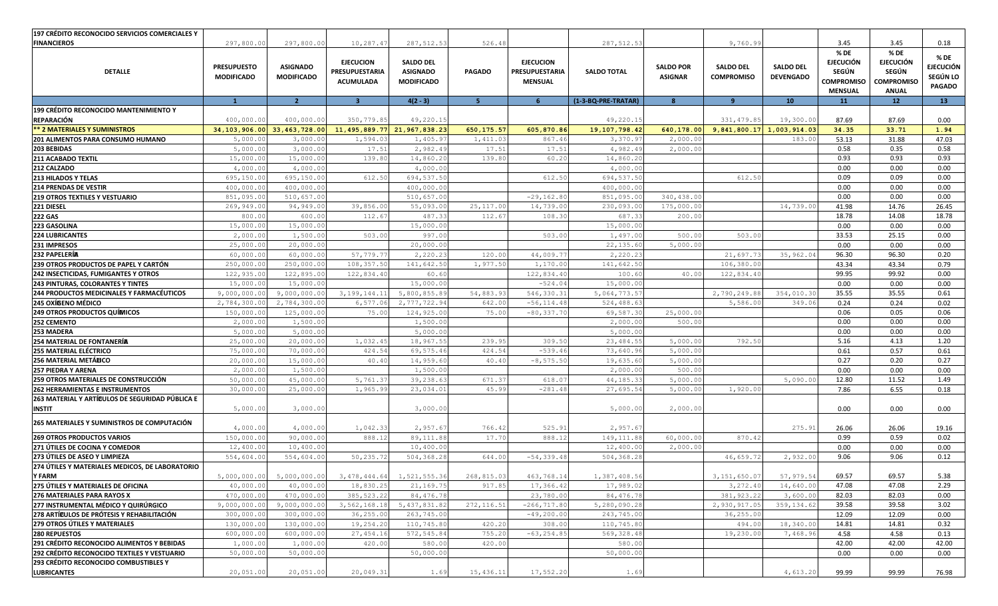| 197 CRÉDITO RECONOCIDO SERVICIOS COMERCIALES Y                   |                                         |                                      |                                                        |                                                          |                 |                                                      |                     |                                    |                                       |                                      |                                                                                 |                                                                        |                                                       |
|------------------------------------------------------------------|-----------------------------------------|--------------------------------------|--------------------------------------------------------|----------------------------------------------------------|-----------------|------------------------------------------------------|---------------------|------------------------------------|---------------------------------------|--------------------------------------|---------------------------------------------------------------------------------|------------------------------------------------------------------------|-------------------------------------------------------|
| <b>FINANCIEROS</b>                                               | 297,800.00                              | 297,800.00                           | 10,287.4                                               | 287, 512.53                                              | 526.48          |                                                      | 287, 512.53         |                                    | 9,760.99                              |                                      | 3.45                                                                            | 3.45                                                                   | 0.18                                                  |
| <b>DETALLE</b>                                                   | <b>PRESUPUESTO</b><br><b>MODIFICADO</b> | <b>ASIGNADO</b><br><b>MODIFICADO</b> | <b>EJECUCION</b><br>PRESUPUESTARIA<br><b>ACUMULADA</b> | <b>SALDO DEL</b><br><b>ASIGNADO</b><br><b>MODIFICADO</b> | <b>PAGADO</b>   | <b>EJECUCION</b><br>PRESUPUESTARIA<br><b>MENSUAL</b> | <b>SALDO TOTAL</b>  | <b>SALDO POR</b><br><b>ASIGNAR</b> | <b>SALDO DEL</b><br><b>COMPROMISO</b> | <b>SALDO DEL</b><br><b>DEVENGADO</b> | % DE<br><b>EJECUCIÓN</b><br><b>SEGÚN</b><br><b>COMPROMISO</b><br><b>MENSUAL</b> | % DE<br><b>EJECUCIÓN</b><br>SEGÚN<br><b>COMPROMISO</b><br><b>ANUAL</b> | % DE<br><b>EJECUCIÓN</b><br>SEGÚN LO<br><b>PAGADO</b> |
|                                                                  | $\mathbf{1}$                            | $\overline{2}$                       | 3 <sup>2</sup>                                         | $4(2 - 3)$                                               | 5 <sub>1</sub>  | 6 <sup>1</sup>                                       | (1-3-BQ-PRE-TRATAR) | 8                                  | 9                                     | 10                                   | 11                                                                              | 12 <sub>2</sub>                                                        | 13                                                    |
| 199 CRÉDITO RECONOCIDO MANTENIMIENTO Y<br><b>REPARACIÓN</b>      | 400,000.00                              | 400,000.00                           | 350,779.85                                             | 49,220.15                                                |                 |                                                      | 49,220.15           |                                    | 331, 479.85                           | 19,300.00                            | 87.69                                                                           | 87.69                                                                  | 0.00                                                  |
| ** 2 MATERIALES Y SUMINISTROS                                    |                                         | 34, 103, 906, 00 33, 463, 728, 00    | 11,495,889.77 21,967,838.23                            |                                                          | 650, 175.57     | 605,870.86                                           | 19, 107, 798.42     | 640,178.00                         | 9,841,800.17                          | 1,003,914.03                         | 34.35                                                                           | 33.71                                                                  | 1.94                                                  |
| 201 ALIMENTOS PARA CONSUMO HUMANO                                | 5,000.00                                | 3,000.0                              | 1,594.0                                                | 1,405.9                                                  | 1,411.03        | 867.46                                               | 3,370.97            | 2,000.00                           |                                       | 183.0                                | 53.13                                                                           | 31.88                                                                  | 47.03                                                 |
| 203 BEBIDAS                                                      | 5,000.00                                | 3,000.01                             | 17.51                                                  | 2,982.49                                                 | 17.51           | 17.51                                                | 4,982.49            | 2,000.00                           |                                       |                                      | 0.58                                                                            | 0.35                                                                   | 0.58                                                  |
| <b>211 ACABADO TEXTIL</b>                                        | 15,000.00                               | 15,000.00                            | 139.80                                                 | 14,860.2                                                 | 139.80          | 60.20                                                | 14,860.20           |                                    |                                       |                                      | 0.93                                                                            | 0.93                                                                   | 0.93                                                  |
| 212 CALZADO                                                      | 4,000.00                                | 4,000.01                             |                                                        | 4,000.00                                                 |                 |                                                      | 4,000.00            |                                    |                                       |                                      | 0.00                                                                            | 0.00                                                                   | 0.00                                                  |
| <b>213 HILADOS Y TELAS</b>                                       | 695,150.00                              | 695,150.0                            | 612.50                                                 | 694, 537.50                                              |                 | 612.50                                               | 694,537.50          |                                    | 612.50                                |                                      | 0.09                                                                            | 0.09                                                                   | 0.00                                                  |
| 214 PRENDAS DE VESTIR                                            | 400,000.00                              | 400,000.00                           |                                                        | 400,000.00                                               |                 |                                                      | 400,000.00          |                                    |                                       |                                      | 0.00                                                                            | 0.00                                                                   | 0.00                                                  |
| <b>219 OTROS TEXTILES Y VESTUARIO</b>                            | 851,095.00                              | 510,657.0                            |                                                        | 510,657.0                                                |                 | $-29, 162.80$                                        | 851,095.00          | 340,438.00                         |                                       |                                      | 0.00                                                                            | 0.00                                                                   | 0.00                                                  |
| 221 DIESEL                                                       | 269,949.00                              | 94,949.0                             | 39,856.00                                              | 55,093.00                                                | 25, 117.00      | 14,739.00                                            | 230,093.00          | 175,000.00                         |                                       | 14,739.00                            | 41.98                                                                           | 14.76                                                                  | 26.45                                                 |
| <b>222 GAS</b>                                                   | 800.00                                  | 600.00                               | 112.67                                                 | 487.33                                                   | 112.67          | 108.30                                               | 687.33              | 200.00                             |                                       |                                      | 18.78                                                                           | 14.08                                                                  | 18.78                                                 |
| <b>223 GASOLINA</b>                                              | 15,000.00                               | 15,000.00                            |                                                        | 15,000.00                                                |                 |                                                      | 15,000.00           |                                    |                                       |                                      | 0.00                                                                            | 0.00                                                                   | 0.00                                                  |
| <b>224 LUBRICANTES</b>                                           | 2,000.00                                | 1,500.01                             | 503.00                                                 | 997.00                                                   |                 | 503.00                                               | 1,497.00            | 500.00                             | 503.00                                |                                      | 33.53                                                                           | 25.15                                                                  | 0.00                                                  |
| 231 IMPRESOS                                                     | 25,000.00                               | 20,000.0                             |                                                        | 20,000.01                                                |                 |                                                      | 22, 135.60          | 5,000.00                           |                                       |                                      | 0.00                                                                            | 0.00                                                                   | 0.00                                                  |
| 232 PAPELERÍA                                                    | 60,000.00                               | 60,000.0                             | 57,779.7                                               | 2,220.2                                                  | 120.00          | 44,009.77                                            | 2,220.23            |                                    | 21,697.73                             | 35,962.04                            | 96.30                                                                           | 96.30                                                                  | 0.20                                                  |
| 239 OTROS PRODUCTOS DE PAPEL Y CARTÓN                            | 250,000.00                              | 250,000.01                           | 108, 357.50                                            | 141,642.50                                               | 1,977.50        | 1,170.00                                             | 141,642.50          |                                    | 106,380.00                            |                                      | 43.34                                                                           | 43.34                                                                  | 0.79                                                  |
| 242 INSECTICIDAS, FUMIGANTES Y OTROS                             | 122,935.00                              | 122,895.00                           | 122,834.40                                             | 60.60                                                    |                 | 122,834.40                                           | 100.60              | 40.00                              | 122,834.40                            |                                      | 99.95                                                                           | 99.92                                                                  | 0.00                                                  |
| <b>243 PINTURAS, COLORANTES Y TINTES</b>                         | 15,000.00                               | 15,000.00                            |                                                        | 15,000.00                                                |                 | $-524.04$                                            | 15,000.01           |                                    |                                       |                                      | 0.00                                                                            | 0.00                                                                   | 0.00                                                  |
| 244 PRODUCTOS MEDICINALES Y FARMACÉUTICOS                        | 9,000,000.00                            | 9,000,000.0                          | 3, 199, 144.1                                          | 5,800,855.8                                              | 54,883.93       | 546,330.31                                           | 5,064,773.57        |                                    | 2,790,249.88                          | 354,010.30                           | 35.55                                                                           | 35.55                                                                  | 0.61                                                  |
| 245 OXÍGENO MÉDICO                                               | 2,784,300.00                            | 2,784,300.01                         | 6,577.06                                               | 2,777,722.94                                             | 642.00          | $-56, 114.48$                                        | 524,488.63          |                                    | 5,586.00                              | 349.06                               | 0.24                                                                            | 0.24                                                                   | 0.02                                                  |
| <b>249 OTROS PRODUCTOS QUÍMICOS</b>                              | 150,000.00                              | 125,000.01                           | 75.00                                                  | 124,925.00                                               | 75.00           | $-80, 337.70$                                        | 69,587.30           | 25,000.00                          |                                       |                                      | 0.06                                                                            | 0.05                                                                   | 0.06                                                  |
| <b>252 CEMENTO</b>                                               | 2,000.00                                | 1,500.01                             |                                                        | 1,500.00                                                 |                 |                                                      | 2,000.00            | 500.00                             |                                       |                                      | 0.00                                                                            | 0.00                                                                   | 0.00                                                  |
| 253 MADERA                                                       | 5,000.00                                | 5,000.0                              |                                                        | 5,000.01                                                 |                 |                                                      | 5,000.00            |                                    |                                       |                                      | 0.00                                                                            | 0.00                                                                   | 0.00                                                  |
|                                                                  |                                         |                                      | 1,032.4                                                |                                                          | 239.95          | 309.50                                               |                     |                                    | 792.50                                |                                      | 5.16                                                                            | 4.13                                                                   | 1.20                                                  |
| 254 MATERIAL DE FONTANERÍA                                       | 25,000.00                               | 20,000.00                            |                                                        | 18,967.55                                                |                 |                                                      | 23, 484.55          | 5,000.00                           |                                       |                                      | 0.61                                                                            | 0.57                                                                   | 0.61                                                  |
| <b>255 MATERIAL ELÉCTRICO</b>                                    | 75,000.00                               | 70,000.01                            | 424.54<br>40.4(                                        | 69,575.46                                                | 424.54<br>40.4( | $-539.46$<br>$-8, 575.50$                            | 73,640.96           | 5,000.00                           |                                       |                                      | 0.27                                                                            | 0.20                                                                   | 0.27                                                  |
| 256 MATERIAL METÁLICO                                            | 20,000.00                               | 15,000.01                            |                                                        | 14,959.60                                                |                 |                                                      | 19,635.60           | 5,000.00                           |                                       |                                      | 0.00                                                                            |                                                                        | 0.00                                                  |
| <b>257 PIEDRA Y ARENA</b>                                        | 2,000.00                                | 1,500.0                              |                                                        | 1,500.00                                                 |                 |                                                      | 2,000.00            | 500.00                             |                                       |                                      |                                                                                 | 0.00                                                                   |                                                       |
| 259 OTROS MATERIALES DE CONSTRUCCIÓN                             | 50,000.00                               | 45,000.0                             | 5,761.3                                                | 39,238.6                                                 | 671.37          | 618.07                                               | 44,185.3            | 5,000.00                           |                                       | 5,090.00                             | 12.80                                                                           | 11.52                                                                  | 1.49                                                  |
| <b>262 HERRAMIENTAS E INSTRUMENTOS</b>                           | 30,000.00                               | 25,000.01                            | 1,965.99                                               | 23,034.01                                                | 45.99           | $-281.48$                                            | 27,695.54           | 5,000.00                           | 1,920.00                              |                                      | 7.86                                                                            | 6.55                                                                   | 0.18                                                  |
| 263 MATERIAL Y ARTÍCULOS DE SEGURIDAD PÚBLICA E<br><b>INSTIT</b> | 5,000.00                                | 3,000.01                             |                                                        | 3,000.00                                                 |                 |                                                      | 5,000.00            | 2,000.00                           |                                       |                                      | 0.00                                                                            | 0.00                                                                   | 0.00                                                  |
| 265 MATERIALES Y SUMINISTROS DE COMPUTACIÓN                      | 4,000.00                                | 4,000.00                             | 1,042.33                                               | 2,957.67                                                 | 766.42          | 525.91                                               | 2,957.67            |                                    |                                       | 275.91                               | 26.06                                                                           | 26.06                                                                  | 19.16                                                 |
| <b>269 OTROS PRODUCTOS VARIOS</b>                                | 150,000.00                              | 90,000.01                            | 888.12                                                 | 89,111.88                                                | 17.70           | 888.12                                               | 149, 111.88         | 60,000.00                          | 870.42                                |                                      | 0.99                                                                            | 0.59                                                                   | 0.02                                                  |
| 271 ÚTILES DE COCINA Y COMEDOR                                   | 12,400.00                               | 10,400.0                             |                                                        | 10,400.0                                                 |                 |                                                      | 12,400.00           | 2,000.00                           |                                       |                                      | 0.00                                                                            | 0.00                                                                   | 0.00                                                  |
| 273 ÚTILES DE ASEO Y LIMPIEZA                                    | 554,604.00                              | 554,604.0                            | 50, 235.7                                              | 504,368.2                                                | 644.00          | $-54, 339.48$                                        | 504,368.28          |                                    | 46,659.72                             | 2,932.00                             | 9.06                                                                            | 9.06                                                                   | 0.12                                                  |
| 274 ÚTILES Y MATERIALES MEDICOS, DE LABORATORIO                  |                                         |                                      |                                                        |                                                          |                 |                                                      |                     |                                    |                                       |                                      |                                                                                 |                                                                        |                                                       |
| <b>Y FARM</b>                                                    | 5,000,000.00                            | 5,000,000.00                         | 3, 478, 444.64                                         | 1,521,555.36                                             | 268,815.03      | 463,768.14                                           | 1,387,408.56        |                                    | 3, 151, 650.07                        | 57,979.54                            | 69.57                                                                           | 69.57                                                                  | 5.38                                                  |
| 275 ÚTILES Y MATERIALES DE OFICINA                               | 40,000.00                               | 40,000.00                            | 18,830.25                                              | 21, 169. 75                                              | 917.85          | 17,366.42                                            | 17,989.02           |                                    | 3,272.40                              | 14,640.00                            | 47.08                                                                           | 47.08                                                                  | 2.29                                                  |
| 276 MATERIALES PARA RAYOS X                                      | 470,000.00                              | 470,000.00                           | 385, 523.22                                            | 84, 476.78                                               |                 | 23,780.00                                            | 84, 476.78          |                                    | 381, 923.22                           | 3,600.00                             | 82.03                                                                           | 82.03                                                                  | 0.00                                                  |
| 277 INSTRUMENTAL MÉDICO Y QUIRÚRGICO                             | 9,000,000.00                            | 9,000,000.00                         | 3,562,168.18                                           | 5, 437, 831.82                                           | 272, 116.51     | $-266, 717.80$                                       | 5,280,090.28        |                                    | 2,930,917.05                          | 359,134.62                           | 39.58                                                                           | 39.58                                                                  | 3.02                                                  |
| 278 ARTÍCULOS DE PRÓTESIS Y REHABILITACIÓN                       | 300,000.00                              | 300,000.00                           | 36, 255.00                                             | 263,745.00                                               |                 | $-49, 200.00$                                        | 243,745.00          |                                    | 36,255.00                             |                                      | 12.09                                                                           | 12.09                                                                  | 0.00                                                  |
| 279 OTROS ÚTILES Y MATERIALES                                    | 130,000.00                              | 130,000.00                           | 19,254.20                                              | 110,745.80                                               | 420.20          | 308.00                                               | 110,745.80          |                                    | 494.00                                | 18,340.00                            | 14.81                                                                           | 14.81                                                                  | 0.32                                                  |
| <b>280 REPUESTOS</b>                                             | 600,000.00                              | 600,000.00                           | 27, 454.16                                             | 572, 545.84                                              | 755.20          | $-63, 254.85$                                        | 569, 328.48         |                                    | 19,230.00                             | 7,468.96                             | 4.58                                                                            | 4.58                                                                   | 0.13                                                  |
| 291 CRÉDITO RECONOCIDO ALIMENTOS Y BEBIDAS                       | 1,000.00                                | 1,000.00                             | 420.00                                                 | 580.00                                                   | 420.00          |                                                      | 580.00              |                                    |                                       |                                      | 42.00                                                                           | 42.00                                                                  | 42.00                                                 |
| 292 CRÉDITO RECONOCIDO TEXTILES Y VESTUARIO                      | 50,000.00                               | 50,000.00                            |                                                        | 50,000.00                                                |                 |                                                      | 50,000.00           |                                    |                                       |                                      | 0.00                                                                            | 0.00                                                                   | 0.00                                                  |
| 293 CRÉDITO RECONOCIDO COMBUSTIBLES Y                            |                                         |                                      |                                                        |                                                          |                 |                                                      |                     |                                    |                                       |                                      |                                                                                 |                                                                        |                                                       |
| <b>LUBRICANTES</b>                                               | 20,051.00                               | 20,051.00                            | 20,049.31                                              | 1.69                                                     | 15,436.11       | 17,552.20                                            | 1.69                |                                    |                                       | 4,613.20                             | 99.99                                                                           | 99.99                                                                  | 76.98                                                 |